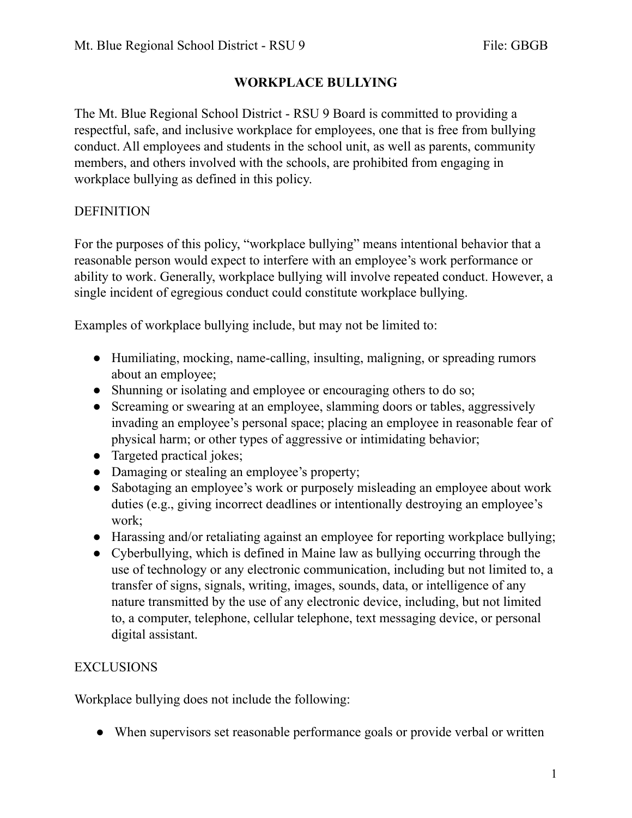The Mt. Blue Regional School District - RSU 9 Board is committed to providing a respectful, safe, and inclusive workplace for employees, one that is free from bullying conduct. All employees and students in the school unit, as well as parents, community members, and others involved with the schools, are prohibited from engaging in workplace bullying as defined in this policy.

# DEFINITION

For the purposes of this policy, "workplace bullying" means intentional behavior that a reasonable person would expect to interfere with an employee's work performance or ability to work. Generally, workplace bullying will involve repeated conduct. However, a single incident of egregious conduct could constitute workplace bullying.

Examples of workplace bullying include, but may not be limited to:

- Humiliating, mocking, name-calling, insulting, maligning, or spreading rumors about an employee;
- Shunning or isolating and employee or encouraging others to do so;
- Screaming or swearing at an employee, slamming doors or tables, aggressively invading an employee's personal space; placing an employee in reasonable fear of physical harm; or other types of aggressive or intimidating behavior;
- Targeted practical jokes;
- Damaging or stealing an employee's property;
- Sabotaging an employee's work or purposely misleading an employee about work duties (e.g., giving incorrect deadlines or intentionally destroying an employee's work;
- Harassing and/or retaliating against an employee for reporting workplace bullying;
- Cyberbullying, which is defined in Maine law as bullying occurring through the use of technology or any electronic communication, including but not limited to, a transfer of signs, signals, writing, images, sounds, data, or intelligence of any nature transmitted by the use of any electronic device, including, but not limited to, a computer, telephone, cellular telephone, text messaging device, or personal digital assistant.

## EXCLUSIONS

Workplace bullying does not include the following:

● When supervisors set reasonable performance goals or provide verbal or written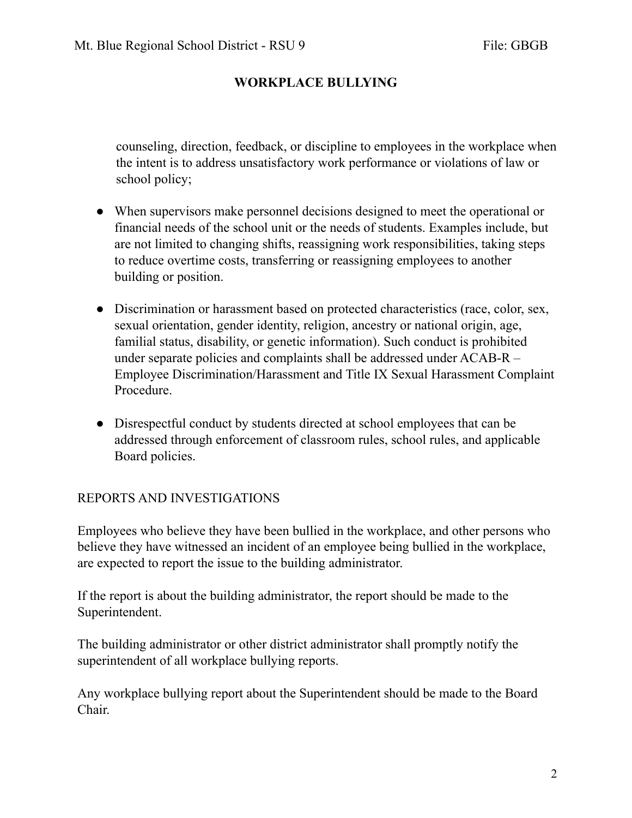counseling, direction, feedback, or discipline to employees in the workplace when the intent is to address unsatisfactory work performance or violations of law or school policy;

- When supervisors make personnel decisions designed to meet the operational or financial needs of the school unit or the needs of students. Examples include, but are not limited to changing shifts, reassigning work responsibilities, taking steps to reduce overtime costs, transferring or reassigning employees to another building or position.
- Discrimination or harassment based on protected characteristics (race, color, sex, sexual orientation, gender identity, religion, ancestry or national origin, age, familial status, disability, or genetic information). Such conduct is prohibited under separate policies and complaints shall be addressed under ACAB-R – Employee Discrimination/Harassment and Title IX Sexual Harassment Complaint Procedure.
- Disrespectful conduct by students directed at school employees that can be addressed through enforcement of classroom rules, school rules, and applicable Board policies.

## REPORTS AND INVESTIGATIONS

Employees who believe they have been bullied in the workplace, and other persons who believe they have witnessed an incident of an employee being bullied in the workplace, are expected to report the issue to the building administrator.

If the report is about the building administrator, the report should be made to the Superintendent.

The building administrator or other district administrator shall promptly notify the superintendent of all workplace bullying reports.

Any workplace bullying report about the Superintendent should be made to the Board Chair.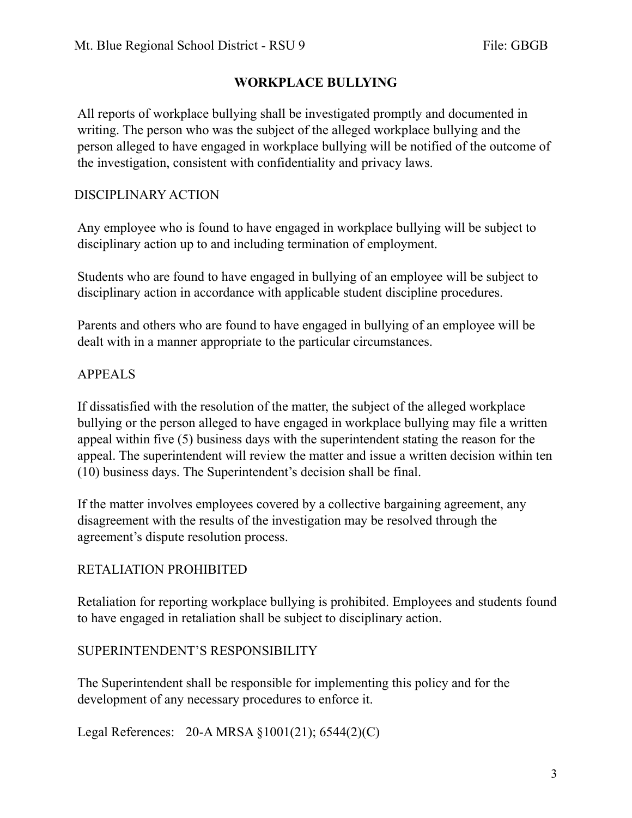All reports of workplace bullying shall be investigated promptly and documented in writing. The person who was the subject of the alleged workplace bullying and the person alleged to have engaged in workplace bullying will be notified of the outcome of the investigation, consistent with confidentiality and privacy laws.

### DISCIPLINARY ACTION

Any employee who is found to have engaged in workplace bullying will be subject to disciplinary action up to and including termination of employment.

Students who are found to have engaged in bullying of an employee will be subject to disciplinary action in accordance with applicable student discipline procedures.

Parents and others who are found to have engaged in bullying of an employee will be dealt with in a manner appropriate to the particular circumstances.

## APPEALS

If dissatisfied with the resolution of the matter, the subject of the alleged workplace bullying or the person alleged to have engaged in workplace bullying may file a written appeal within five (5) business days with the superintendent stating the reason for the appeal. The superintendent will review the matter and issue a written decision within ten (10) business days. The Superintendent's decision shall be final.

If the matter involves employees covered by a collective bargaining agreement, any disagreement with the results of the investigation may be resolved through the agreement's dispute resolution process.

## RETALIATION PROHIBITED

Retaliation for reporting workplace bullying is prohibited. Employees and students found to have engaged in retaliation shall be subject to disciplinary action.

#### SUPERINTENDENT'S RESPONSIBILITY

The Superintendent shall be responsible for implementing this policy and for the development of any necessary procedures to enforce it.

Legal References: 20-A MRSA §1001(21); 6544(2)(C)